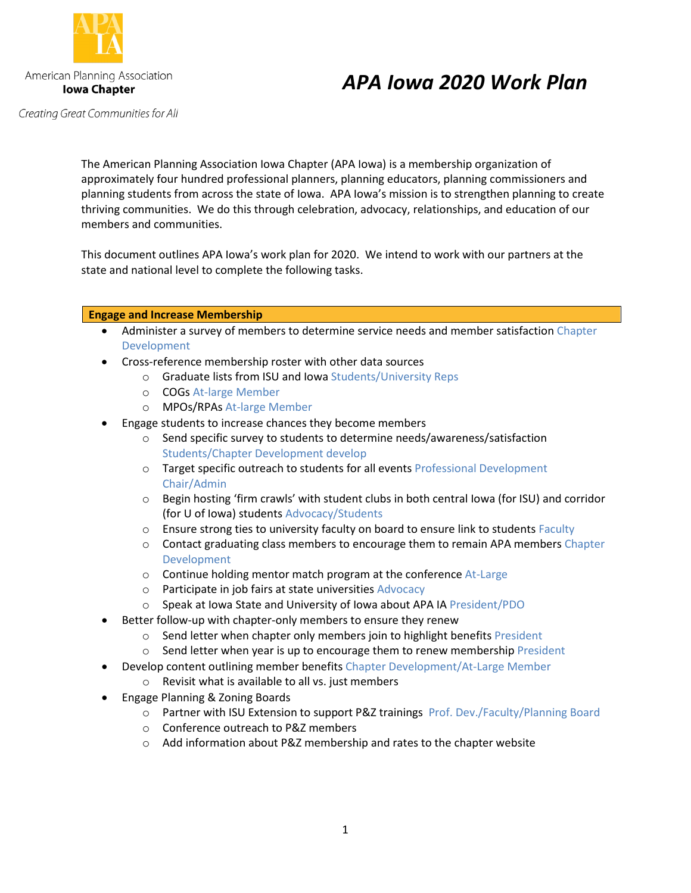

# *APA Iowa 2020 Work Plan*

Creating Great Communities for All

The American Planning Association Iowa Chapter (APA Iowa) is a membership organization of approximately four hundred professional planners, planning educators, planning commissioners and planning students from across the state of Iowa. APA Iowa's mission is to strengthen planning to create thriving communities. We do this through celebration, advocacy, relationships, and education of our members and communities.

This document outlines APA Iowa's work plan for 2020. We intend to work with our partners at the state and national level to complete the following tasks.

## **Engage and Increase Membership**

- Administer a survey of members to determine service needs and member satisfaction Chapter Development
- Cross-reference membership roster with other data sources
	- o Graduate lists from ISU and Iowa Students/University Reps
	- o COGs At-large Member
	- o MPOs/RPAs At-large Member
- Engage students to increase chances they become members
	- o Send specific survey to students to determine needs/awareness/satisfaction Students/Chapter Development develop
	- o Target specific outreach to students for all events Professional Development Chair/Admin
	- $\circ$  Begin hosting 'firm crawls' with student clubs in both central lowa (for ISU) and corridor (for U of Iowa) students Advocacy/Students
	- $\circ$  Ensure strong ties to university faculty on board to ensure link to students Faculty
	- $\circ$  Contact graduating class members to encourage them to remain APA members Chapter Development
	- $\circ$  Continue holding mentor match program at the conference At-Large
	- o Participate in job fairs at state universities Advocacy
	- o Speak at Iowa State and University of Iowa about APA IA President/PDO
- Better follow-up with chapter-only members to ensure they renew
	- o Send letter when chapter only members join to highlight benefits President
	- $\circ$  Send letter when year is up to encourage them to renew membership President
	- Develop content outlining member benefits Chapter Development/At-Large Member
		- o Revisit what is available to all vs. just members
- Engage Planning & Zoning Boards
	- o Partner with ISU Extension to support P&Z trainings Prof. Dev./Faculty/Planning Board
	- o Conference outreach to P&Z members
	- o Add information about P&Z membership and rates to the chapter website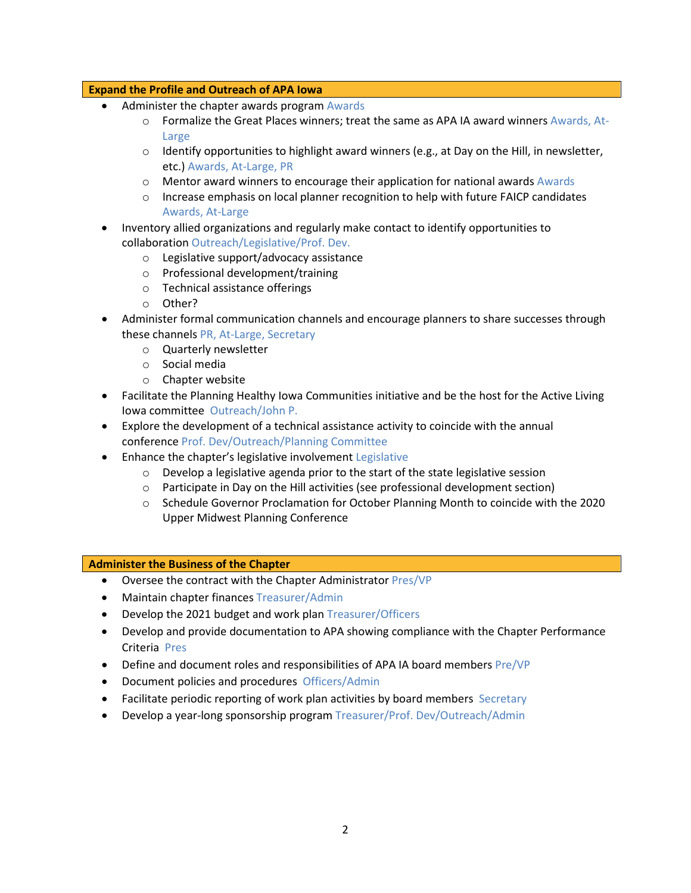### **Expand the Profile and Outreach of APA Iowa**

- Administer the chapter awards program Awards
	- o Formalize the Great Places winners; treat the same as APA IA award winners Awards, At-Large
	- $\circ$  Identify opportunities to highlight award winners (e.g., at Day on the Hill, in newsletter, etc.) Awards, At-Large, PR
	- $\circ$  Mentor award winners to encourage their application for national awards Awards
	- $\circ$  Increase emphasis on local planner recognition to help with future FAICP candidates Awards, At-Large
- Inventory allied organizations and regularly make contact to identify opportunities to collaboration Outreach/Legislative/Prof. Dev.
	- o Legislative support/advocacy assistance
	- o Professional development/training
	- o Technical assistance offerings
	- o Other?
- Administer formal communication channels and encourage planners to share successes through these channels PR, At-Large, Secretary
	- o Quarterly newsletter
	- o Social media
	- o Chapter website
- Facilitate the Planning Healthy Iowa Communities initiative and be the host for the Active Living Iowa committee Outreach/John P.
- Explore the development of a technical assistance activity to coincide with the annual conference Prof. Dev/Outreach/Planning Committee
- Enhance the chapter's legislative involvement Legislative
	- $\circ$  Develop a legislative agenda prior to the start of the state legislative session
	- $\circ$  Participate in Day on the Hill activities (see professional development section)
	- o Schedule Governor Proclamation for October Planning Month to coincide with the 2020 Upper Midwest Planning Conference

#### **Administer the Business of the Chapter**

- Oversee the contract with the Chapter Administrator Pres/VP
- Maintain chapter finances Treasurer/Admin
- Develop the 2021 budget and work plan Treasurer/Officers
- Develop and provide documentation to APA showing compliance with the Chapter Performance Criteria Pres
- Define and document roles and responsibilities of APA IA board members Pre/VP
- Document policies and procedures Officers/Admin
- Facilitate periodic reporting of work plan activities by board members Secretary
- Develop a year-long sponsorship program Treasurer/Prof. Dev/Outreach/Admin